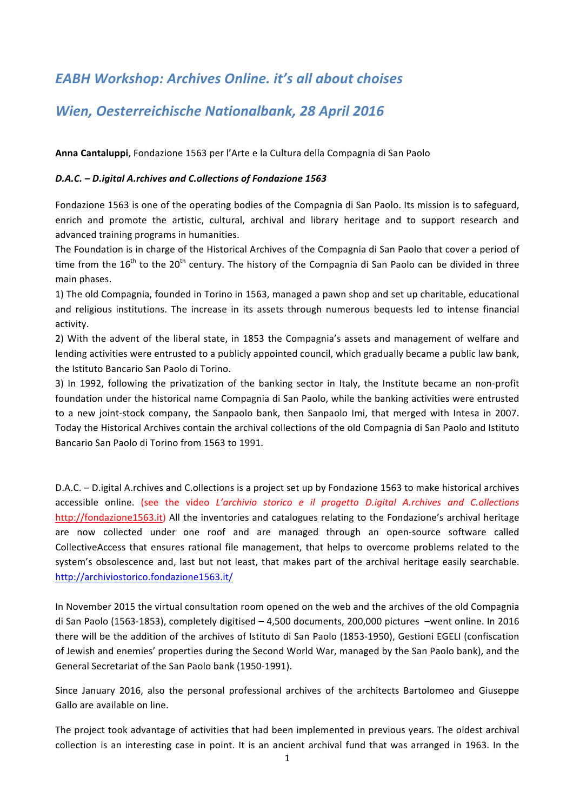## *EABH Workshop: Archives Online. it's all about choises*

## *Wien, Oesterreichische Nationalbank, 28 April 2016*

Anna Cantaluppi, Fondazione 1563 per l'Arte e la Cultura della Compagnia di San Paolo

## *D.A.C. – D.igital A.rchives and C.ollections of Fondazione 1563*

Fondazione 1563 is one of the operating bodies of the Compagnia di San Paolo. Its mission is to safeguard, enrich and promote the artistic, cultural, archival and library heritage and to support research and advanced training programs in humanities.

The Foundation is in charge of the Historical Archives of the Compagnia di San Paolo that cover a period of time from the  $16^{th}$  to the  $20^{th}$  century. The history of the Compagnia di San Paolo can be divided in three main phases.

1) The old Compagnia, founded in Torino in 1563, managed a pawn shop and set up charitable, educational and religious institutions. The increase in its assets through numerous bequests led to intense financial activity.

2) With the advent of the liberal state, in 1853 the Compagnia's assets and management of welfare and lending activities were entrusted to a publicly appointed council, which gradually became a public law bank, the Istituto Bancario San Paolo di Torino.

3) In 1992, following the privatization of the banking sector in Italy, the Institute became an non-profit foundation under the historical name Compagnia di San Paolo, while the banking activities were entrusted to a new joint-stock company, the Sanpaolo bank, then Sanpaolo Imi, that merged with Intesa in 2007. Today the Historical Archives contain the archival collections of the old Compagnia di San Paolo and Istituto Bancario San Paolo di Torino from 1563 to 1991.

D.A.C. – D.igital A.rchives and C.ollections is a project set up by Fondazione 1563 to make historical archives accessible online. (see the video *L'archivio storico e il progetto D.igital A.rchives and C.ollections* http://fondazione1563.it) All the inventories and catalogues relating to the Fondazione's archival heritage are now collected under one roof and are managed through an open-source software called CollectiveAccess that ensures rational file management, that helps to overcome problems related to the system's obsolescence and, last but not least, that makes part of the archival heritage easily searchable. http://archiviostorico.fondazione1563.it/

In November 2015 the virtual consultation room opened on the web and the archives of the old Compagnia di San Paolo (1563-1853), completely digitised  $- 4,500$  documents, 200,000 pictures  $-$ went online. In 2016 there will be the addition of the archives of Istituto di San Paolo (1853-1950), Gestioni EGELI (confiscation of Jewish and enemies' properties during the Second World War, managed by the San Paolo bank), and the General Secretariat of the San Paolo bank (1950-1991).

Since January 2016, also the personal professional archives of the architects Bartolomeo and Giuseppe Gallo are available on line.

The project took advantage of activities that had been implemented in previous years. The oldest archival collection is an interesting case in point. It is an ancient archival fund that was arranged in 1963. In the